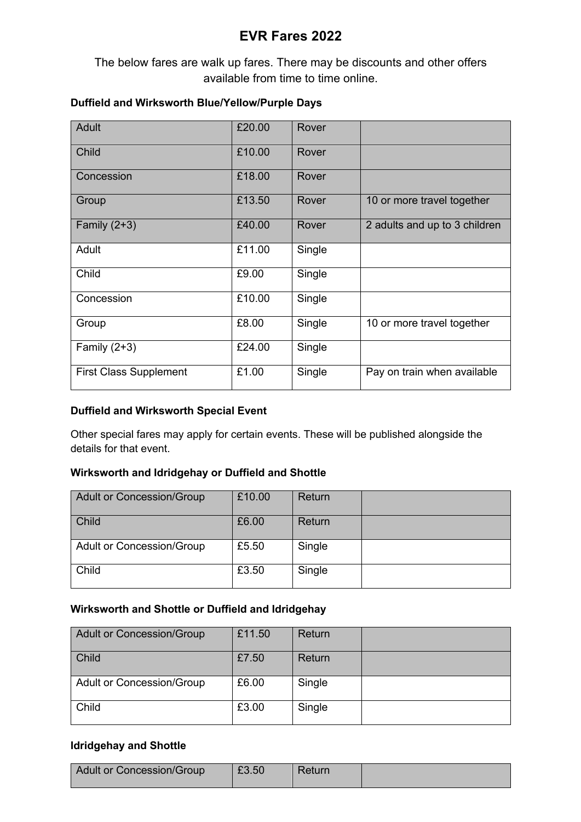# **EVR Fares 2022**

The below fares are walk up fares. There may be discounts and other offers available from time to time online.

## **Duffield and Wirksworth Blue/Yellow/Purple Days**

| Adult                         | £20.00 | Rover  |                               |
|-------------------------------|--------|--------|-------------------------------|
| Child                         | £10.00 | Rover  |                               |
| Concession                    | £18.00 | Rover  |                               |
| Group                         | £13.50 | Rover  | 10 or more travel together    |
| Family $(2+3)$                | £40.00 | Rover  | 2 adults and up to 3 children |
| Adult                         | £11.00 | Single |                               |
| Child                         | £9.00  | Single |                               |
| Concession                    | £10.00 | Single |                               |
| Group                         | £8.00  | Single | 10 or more travel together    |
| Family $(2+3)$                | £24.00 | Single |                               |
| <b>First Class Supplement</b> | £1.00  | Single | Pay on train when available   |

#### **Duffield and Wirksworth Special Event**

Other special fares may apply for certain events. These will be published alongside the details for that event.

## **Wirksworth and Idridgehay or Duffield and Shottle**

| <b>Adult or Concession/Group</b> | £10.00 | Return |  |
|----------------------------------|--------|--------|--|
| Child                            | £6.00  | Return |  |
| <b>Adult or Concession/Group</b> | £5.50  | Single |  |
| Child                            | £3.50  | Single |  |

## **Wirksworth and Shottle or Duffield and Idridgehay**

| <b>Adult or Concession/Group</b> | £11.50 | Return |  |
|----------------------------------|--------|--------|--|
| Child                            | £7.50  | Return |  |
| <b>Adult or Concession/Group</b> | £6.00  | Single |  |
| Child                            | £3.00  | Single |  |

#### **Idridgehay and Shottle**

| <b>Adult or Concession/Group</b> | £3.50 | Return |  |
|----------------------------------|-------|--------|--|
|                                  |       |        |  |